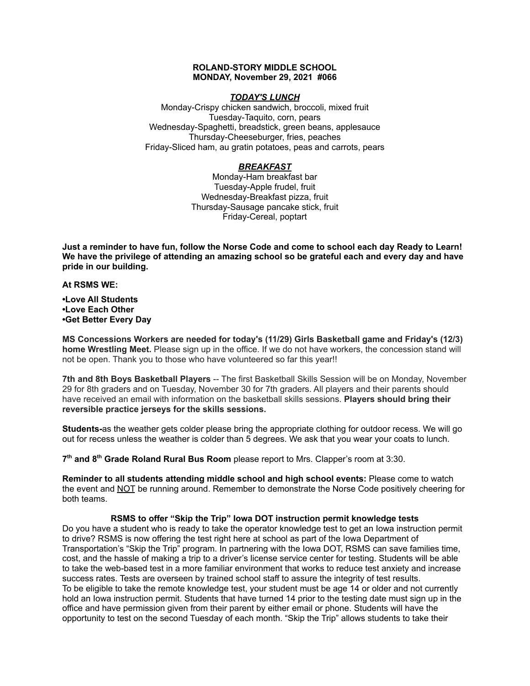### **ROLAND-STORY MIDDLE SCHOOL MONDAY, November 29, 2021 #066**

### *TODAY'S LUNCH*

Monday-Crispy chicken sandwich, broccoli, mixed fruit Tuesday-Taquito, corn, pears Wednesday-Spaghetti, breadstick, green beans, applesauce Thursday-Cheeseburger, fries, peaches Friday-Sliced ham, au gratin potatoes, peas and carrots, pears

# *BREAKFAST*

Monday-Ham breakfast bar Tuesday-Apple frudel, fruit Wednesday-Breakfast pizza, fruit Thursday-Sausage pancake stick, fruit Friday-Cereal, poptart

Just a reminder to have fun, follow the Norse Code and come to school each day Ready to Learn! **We have the privilege of attending an amazing school so be grateful each and every day and have pride in our building.**

**At RSMS WE:**

**•Love All Students •Love Each Other •Get Better Every Day**

**MS Concessions Workers are needed for today's (11/29) Girls Basketball game and Friday's (12/3) home Wrestling Meet.** Please sign up in the office. If we do not have workers, the concession stand will not be open. Thank you to those who have volunteered so far this year!!

**7th and 8th Boys Basketball Players** -- The first Basketball Skills Session will be on Monday, November 29 for 8th graders and on Tuesday, November 30 for 7th graders. All players and their parents should have received an email with information on the basketball skills sessions. **Players should bring their reversible practice jerseys for the skills sessions.**

**Students-**as the weather gets colder please bring the appropriate clothing for outdoor recess. We will go out for recess unless the weather is colder than 5 degrees. We ask that you wear your coats to lunch.

**7 th and 8 th Grade Roland Rural Bus Room** please report to Mrs. Clapper's room at 3:30.

**Reminder to all students attending middle school and high school events:** Please come to watch the event and NOT be running around. Remember to demonstrate the Norse Code positively cheering for both teams.

#### **RSMS to offer "Skip the Trip" Iowa DOT instruction permit knowledge tests**

Do you have a student who is ready to take the operator knowledge test to get an Iowa instruction permit to drive? RSMS is now offering the test right here at school as part of the Iowa Department of Transportation's "Skip the Trip" program. In partnering with the Iowa DOT, RSMS can save families time, cost, and the hassle of making a trip to a driver's license service center for testing. Students will be able to take the web-based test in a more familiar environment that works to reduce test anxiety and increase success rates. Tests are overseen by trained school staff to assure the integrity of test results. To be eligible to take the remote knowledge test, your student must be age 14 or older and not currently hold an Iowa instruction permit. Students that have turned 14 prior to the testing date must sign up in the office and have permission given from their parent by either email or phone. Students will have the opportunity to test on the second Tuesday of each month. "Skip the Trip" allows students to take their